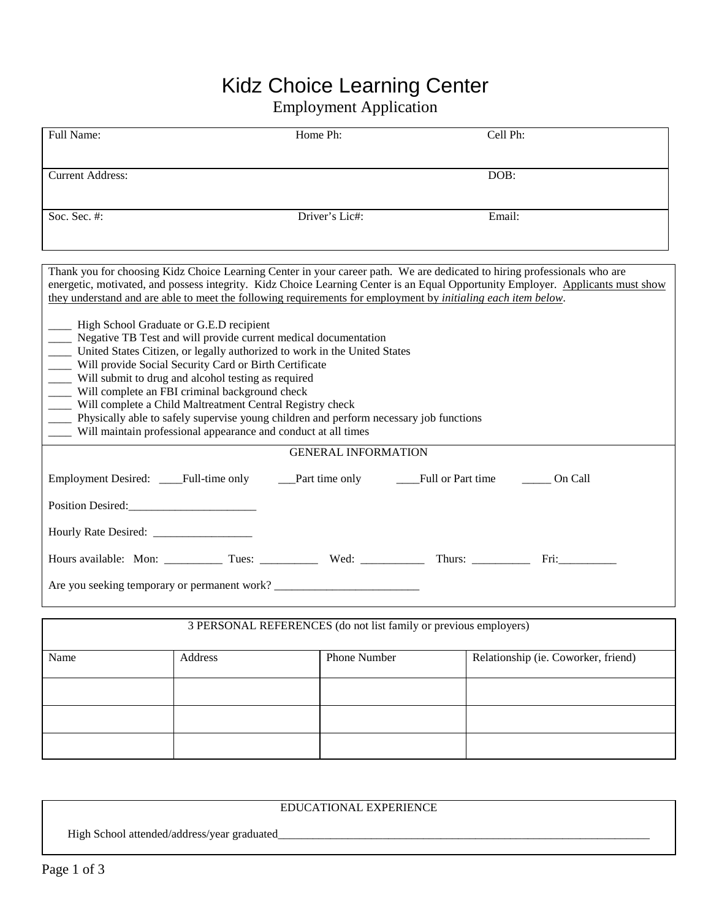## Kidz Choice Learning Center

## Employment Application

| Full Name:                                                                                                                                                                                                                                                                                                                                                                                                                                                                                                                                                                                                         |         | Cell Ph:                   |                                     |  |  |  |
|--------------------------------------------------------------------------------------------------------------------------------------------------------------------------------------------------------------------------------------------------------------------------------------------------------------------------------------------------------------------------------------------------------------------------------------------------------------------------------------------------------------------------------------------------------------------------------------------------------------------|---------|----------------------------|-------------------------------------|--|--|--|
|                                                                                                                                                                                                                                                                                                                                                                                                                                                                                                                                                                                                                    |         |                            |                                     |  |  |  |
| <b>Current Address:</b>                                                                                                                                                                                                                                                                                                                                                                                                                                                                                                                                                                                            |         |                            | DOB:                                |  |  |  |
| Soc. Sec. #:                                                                                                                                                                                                                                                                                                                                                                                                                                                                                                                                                                                                       |         | Driver's Lic#:             | Email:                              |  |  |  |
|                                                                                                                                                                                                                                                                                                                                                                                                                                                                                                                                                                                                                    |         |                            |                                     |  |  |  |
|                                                                                                                                                                                                                                                                                                                                                                                                                                                                                                                                                                                                                    |         |                            |                                     |  |  |  |
| Thank you for choosing Kidz Choice Learning Center in your career path. We are dedicated to hiring professionals who are<br>energetic, motivated, and possess integrity. Kidz Choice Learning Center is an Equal Opportunity Employer. Applicants must show<br>they understand and are able to meet the following requirements for employment by <i>initialing each item below</i> .                                                                                                                                                                                                                               |         |                            |                                     |  |  |  |
| ____ High School Graduate or G.E.D recipient<br>____ Negative TB Test and will provide current medical documentation<br>United States Citizen, or legally authorized to work in the United States<br>__ Will provide Social Security Card or Birth Certificate<br>__ Will submit to drug and alcohol testing as required<br>____ Will complete an FBI criminal background check<br>____ Will complete a Child Maltreatment Central Registry check<br>____ Physically able to safely supervise young children and perform necessary job functions<br>Will maintain professional appearance and conduct at all times |         |                            |                                     |  |  |  |
|                                                                                                                                                                                                                                                                                                                                                                                                                                                                                                                                                                                                                    |         | <b>GENERAL INFORMATION</b> |                                     |  |  |  |
| Employment Desired: _____Full-time only _______Part time only __________Full or Part time ________<br>On Call                                                                                                                                                                                                                                                                                                                                                                                                                                                                                                      |         |                            |                                     |  |  |  |
| Position Desired:                                                                                                                                                                                                                                                                                                                                                                                                                                                                                                                                                                                                  |         |                            |                                     |  |  |  |
|                                                                                                                                                                                                                                                                                                                                                                                                                                                                                                                                                                                                                    |         |                            |                                     |  |  |  |
|                                                                                                                                                                                                                                                                                                                                                                                                                                                                                                                                                                                                                    |         |                            |                                     |  |  |  |
| Are you seeking temporary or permanent work? ___________________________________                                                                                                                                                                                                                                                                                                                                                                                                                                                                                                                                   |         |                            |                                     |  |  |  |
| 3 PERSONAL REFERENCES (do not list family or previous employers)                                                                                                                                                                                                                                                                                                                                                                                                                                                                                                                                                   |         |                            |                                     |  |  |  |
| Name                                                                                                                                                                                                                                                                                                                                                                                                                                                                                                                                                                                                               | Address | Phone Number               | Relationship (ie. Coworker, friend) |  |  |  |
|                                                                                                                                                                                                                                                                                                                                                                                                                                                                                                                                                                                                                    |         |                            |                                     |  |  |  |
|                                                                                                                                                                                                                                                                                                                                                                                                                                                                                                                                                                                                                    |         |                            |                                     |  |  |  |
|                                                                                                                                                                                                                                                                                                                                                                                                                                                                                                                                                                                                                    |         |                            |                                     |  |  |  |

| EDUCATIONAL EXPERIENCE                       |  |
|----------------------------------------------|--|
| High School attended/address/year graduated_ |  |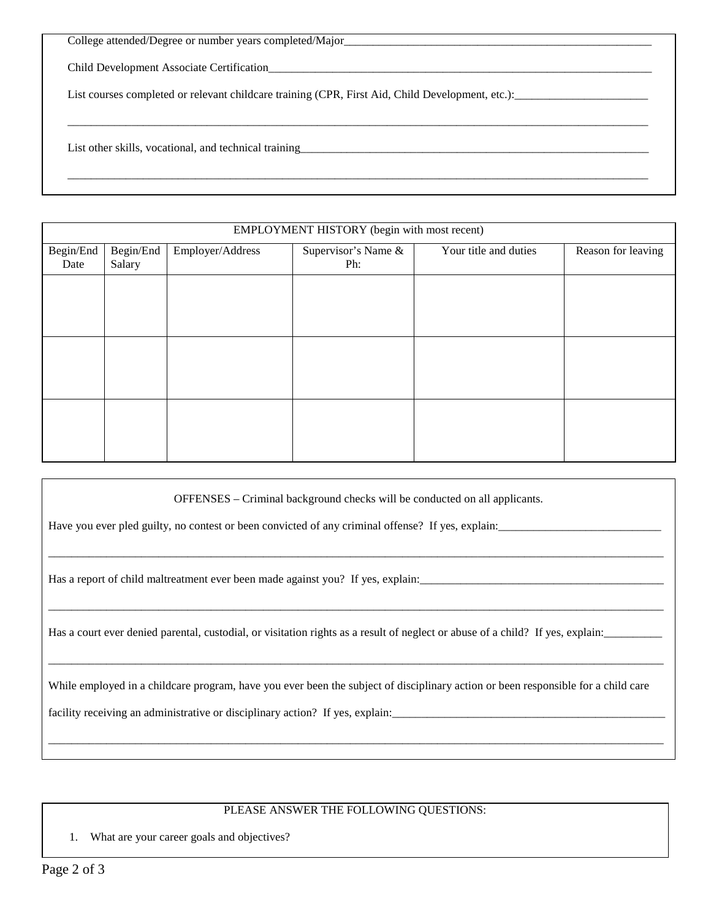| College attended/Degree or number years completed/Major                                          |  |
|--------------------------------------------------------------------------------------------------|--|
| Child Development Associate Certification                                                        |  |
| List courses completed or relevant childcare training (CPR, First Aid, Child Development, etc.): |  |
|                                                                                                  |  |
|                                                                                                  |  |
| List other skills, vocational, and technical training                                            |  |
|                                                                                                  |  |

| EMPLOYMENT HISTORY (begin with most recent) |        |  |                     |                       |                    |  |
|---------------------------------------------|--------|--|---------------------|-----------------------|--------------------|--|
| Begin/End<br>Begin/End<br>Employer/Address  |        |  | Supervisor's Name & | Your title and duties | Reason for leaving |  |
| Date                                        | Salary |  | Ph:                 |                       |                    |  |
|                                             |        |  |                     |                       |                    |  |
|                                             |        |  |                     |                       |                    |  |
|                                             |        |  |                     |                       |                    |  |
|                                             |        |  |                     |                       |                    |  |
|                                             |        |  |                     |                       |                    |  |
|                                             |        |  |                     |                       |                    |  |
|                                             |        |  |                     |                       |                    |  |
|                                             |        |  |                     |                       |                    |  |
|                                             |        |  |                     |                       |                    |  |

OFFENSES – Criminal background checks will be conducted on all applicants.

\_\_\_\_\_\_\_\_\_\_\_\_\_\_\_\_\_\_\_\_\_\_\_\_\_\_\_\_\_\_\_\_\_\_\_\_\_\_\_\_\_\_\_\_\_\_\_\_\_\_\_\_\_\_\_\_\_\_\_\_\_\_\_\_\_\_\_\_\_\_\_\_\_\_\_\_\_\_\_\_\_\_\_\_\_\_\_\_\_\_\_\_\_\_\_\_\_\_\_\_\_\_\_\_\_\_

\_\_\_\_\_\_\_\_\_\_\_\_\_\_\_\_\_\_\_\_\_\_\_\_\_\_\_\_\_\_\_\_\_\_\_\_\_\_\_\_\_\_\_\_\_\_\_\_\_\_\_\_\_\_\_\_\_\_\_\_\_\_\_\_\_\_\_\_\_\_\_\_\_\_\_\_\_\_\_\_\_\_\_\_\_\_\_\_\_\_\_\_\_\_\_\_\_\_\_\_\_\_\_\_\_\_

\_\_\_\_\_\_\_\_\_\_\_\_\_\_\_\_\_\_\_\_\_\_\_\_\_\_\_\_\_\_\_\_\_\_\_\_\_\_\_\_\_\_\_\_\_\_\_\_\_\_\_\_\_\_\_\_\_\_\_\_\_\_\_\_\_\_\_\_\_\_\_\_\_\_\_\_\_\_\_\_\_\_\_\_\_\_\_\_\_\_\_\_\_\_\_\_\_\_\_\_\_\_\_\_\_\_

Have you ever pled guilty, no contest or been convicted of any criminal offense? If yes, explain:

Has a report of child maltreatment ever been made against you? If yes, explain:

Has a court ever denied parental, custodial, or visitation rights as a result of neglect or abuse of a child? If yes, explain:

While employed in a childcare program, have you ever been the subject of disciplinary action or been responsible for a child care

facility receiving an administrative or disciplinary action? If yes, explain:

## PLEASE ANSWER THE FOLLOWING QUESTIONS:

\_\_\_\_\_\_\_\_\_\_\_\_\_\_\_\_\_\_\_\_\_\_\_\_\_\_\_\_\_\_\_\_\_\_\_\_\_\_\_\_\_\_\_\_\_\_\_\_\_\_\_\_\_\_\_\_\_\_\_\_\_\_\_\_\_\_\_\_\_\_\_\_\_\_\_\_\_\_\_\_\_\_\_\_\_\_\_\_\_\_\_\_\_\_\_\_\_\_\_\_\_\_\_\_\_\_

1. What are your career goals and objectives?